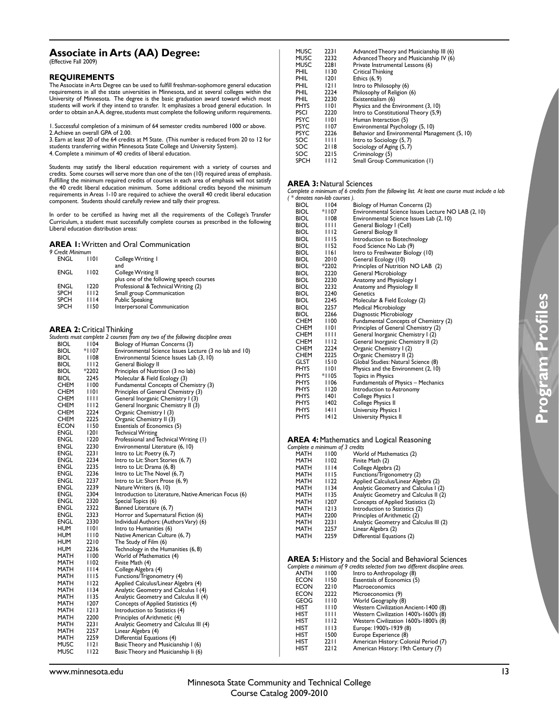# **Associate in Arts (AA) Degree:**

(Effective Fall 2009)

#### **REQUIREMENTS**

The Associate in Arts Degree can be used to fulfill freshman-sophomore general education requirements in all the state universities in Minnesota, and at several colleges within the University of Minnesota. The degree is the basic graduation award toward which most students will work if they intend to transfer. It emphasizes a broad general education. In order to obtain an A. A. degree, students must complete the following uniform requirements.

1. Successful completion of a minimum of 64 semester credits numbered 1000 or above. 2. Achieve an overall GPA of 2.00.

3. Earn at least 20 of the 64 credits at M State. (This number is reduced from 20 to 12 for students transferring within Minnesota State College and University System).

4. Complete a minimum of 40 credits of liberal education.

Students may satisfy the liberal education requirement with a variety of courses and credits. Some courses will serve more than one of the ten (10) required areas of emphasis. Fulfilling the minimum required credits of courses in each area of emphasis will not satisfy the 40 credit liberal education minimum. Some additional credits beyond the minimum requirements in Areas 1-10 are required to achieve the overall 40 credit liberal education component. Students should carefully review and tally their progress.

In order to be certified as having met all the requirements of the College's Transfer<br>Curriculum, a student must successfully complete courses as prescribed in the following Liberal education distribution areas:

### **AREA 1:** Written and Oral Communication

| 9 Credit Minimum |      |                                                                       |
|------------------|------|-----------------------------------------------------------------------|
| ENGL             | 1101 | College Writing 1<br>and                                              |
| ENGL             | 1102 | <b>College Writing II</b><br>plus one of the following speech courses |
| ENGL             | 1220 | Professional & Technical Writing (2)                                  |
| <b>SPCH</b>      | 1112 | Small group Communication                                             |
| <b>SPCH</b>      | 1114 | <b>Public Speaking</b>                                                |
| <b>SPCH</b>      | 1150 | Interpersonal Communication                                           |

# **AREA 2:** Critical Thinking

| <b>ANEA 4.</b> CHUCAL HIIIKIIIX |             |                                                                                 |
|---------------------------------|-------------|---------------------------------------------------------------------------------|
|                                 |             | Students must complete 2 courses from any two of the following discipline areas |
| BIOL                            | 1104        | Biology of Human Concerns (3)                                                   |
| BIOL                            | *1107       | Environmental Science Issues Lecture (3 no lab and 10)                          |
| BIOL                            | I 108       | Environmental Science Issues Lab (3, 10)                                        |
| BIOL                            | 1112        | General Biology II                                                              |
| BIOL                            | *2202       | Principles of Nutrition (3 no lab)                                              |
| BIOL                            | 2245        | Molecular & Field Ecology (3)                                                   |
| CHEM                            | 1100        | Fundamental Concepts of Chemistry (3)                                           |
| CHEM                            | 1101        | Principles of General Chemistry (3)                                             |
| CHEM                            | Ш           | General Inorganic Chemistry I (3)                                               |
| CHEM                            | 1112        | General Inorganic Chemistry II (3)                                              |
| CHEM                            | 2224        | Organic Chemistry I (3)                                                         |
| CHEM                            | 2225        | Organic Chemistry II (3)                                                        |
| ECON                            | 1150        | Essentials of Economics (5)                                                     |
| ENGL                            | 1201        | <b>Technical Writing</b>                                                        |
| ENGL                            | 1220        | Professional and Technical Writing (1)                                          |
| ENGL                            | 2230        | Environmental Literature (6, 10)                                                |
| ENGL                            | 2231        | Intro to Lit: Poetry (6, 7)                                                     |
| ENGL                            | 2234        | Intro to Lit: Short Stories (6, 7)                                              |
| ENGL                            | 2235        | Intro to Lit: Drama (6, 8)                                                      |
| ENGL                            | 2236        | Intro to Lit: The Novel (6, 7)                                                  |
| ENGL                            | 2237        | Intro to Lit: Short Prose (6, 9)                                                |
| ENGL                            | 2239        | Nature Writers (6, 10)                                                          |
| ENGL                            | 2304        | Introduction to Literature, Native American Focus (6)                           |
| ENGL                            | 2320        | Special Topics (6)                                                              |
| ENGL                            | 2322        | Banned Literature (6, 7)                                                        |
| ENGL                            | 2323        | Horror and Supernatural Fiction (6)                                             |
| ENGL                            | 2330        | Individual Authors: (Authors Vary) (6)                                          |
| HUM                             | 1101        | Intro to Humanities (6)                                                         |
| HUM                             | 1110        | Native American Culture (6, 7)                                                  |
| HUM                             | 2210        | The Study of Film (6)                                                           |
| HUM                             | 2236        | Technology in the Humanities (6, 8)                                             |
| MATH                            | 1100        | World of Mathematics (4)                                                        |
| MATH                            | l 102       | Finite Math (4)                                                                 |
| MATH                            | I I 14      | College Algebra (4)                                                             |
| MATH                            | <b>III5</b> | Functions/Trigonometry (4)                                                      |
| MATH                            | 1122        | Applied Calculus/Linear Algebra (4)                                             |
| MATH                            | I I 34      | Analytic Geometry and Calculus I (4)                                            |
| MATH                            | 1135        | Analytic Geometry and Calculus II (4)                                           |
| MATH                            | 1207        | Concepts of Applied Statistics (4)                                              |
| MATH                            | 1213        | Introduction to Statistics (4)                                                  |
| MATH                            | 2200        | Principles of Arithmetic (4)                                                    |
| MATH                            | 223 I       | Analytic Geometry and Calculus III (4)                                          |
| MATH                            | 2257        | Linear Algebra (4)                                                              |
| MATH                            | 2259        | Differential Equations (4)                                                      |
| MUSC                            | I 12 I      | Basic Theory and Musicianship I (6)                                             |
| <b>MUSC</b>                     | l I 22      | Basic Theory and Musicianship li (6)                                            |
|                                 |             |                                                                                 |

| <b>MUSC</b> | 2231   | Advanced Theory and Musicianship III (6)      |
|-------------|--------|-----------------------------------------------|
| <b>MUSC</b> | 2232   | Advanced Theory and Musicianship IV (6)       |
| <b>MUSC</b> | 2281   | Private Instrumental Lessons (6)              |
| PHIL        | 1130   | Critical Thinking                             |
| PHIL        | 1201   | Ethics (6, 9)                                 |
| PHIL        | 1211   | Intro to Philosophy (6)                       |
| PHIL        | 2224   | Philosophy of Religion (6)                    |
| <b>PHIL</b> | 2230   | Existentialism (6)                            |
| <b>PHYS</b> | 1101   | Physics and the Environment (3, 10)           |
| <b>PSCI</b> | 2220   | Intro to Constitutional Theory (5,9)          |
| <b>PSYC</b> | 1101   | Human Interaction (5)                         |
| <b>PSYC</b> | 1107   | Environmental Psychology (5, 10)              |
| <b>PSYC</b> | 2226   | Behavior and Environmental Management (5, 10) |
| SOC         | 1111   | Intro to Sociology (5, 7)                     |
| SOC         | 2118   | Sociology of Aging (5, 7)                     |
| SOC         | 2215   | Criminology (5)                               |
| <b>SPCH</b> | I I 12 | Small Group Communication (1)                 |

#### **AREA 3: Natural Sciences**

*Complete a minimum of 6 credits from the following list. At least one course must include a lab ( \* denotes non-lab courses ).*

| BIOL        | 1104           | Biology of Human Concerns (2)                       |
|-------------|----------------|-----------------------------------------------------|
| BIOL        | *1107          | Environmental Science Issues Lecture NO LAB (2, 10) |
| <b>BIOL</b> | 1108           | Environmental Science Issues Lab (2, 10)            |
| BIOL        | $\blacksquare$ | General Biology I (Cell)                            |
| <b>BIOL</b> | 1112           | General Biology II                                  |
| BIOL.       | 1115           | Introduction to Biotechnology                       |
| BIOL.       | <b>II52</b>    | Food Science No Lab (9)                             |
| <b>BIOL</b> | 1161           | Intro to Freshwater Biology (10)                    |
| BIOL        | 2010           | General Ecology (10)                                |
| BIOL        | *2202          | Principles of Nutrition NO LAB (2)                  |
| BIOL        | 2220           | <b>General Microbiology</b>                         |
| BIOL        | 2230           | Anatomy and Physiology I                            |
| <b>BIOL</b> | 2232           | Anatomy and Physiology II                           |
| BIOL.       | 2240           | Genetics                                            |
| <b>BIOL</b> | 2245           | Molecular & Field Ecology (2)                       |
| BIOL        | 2257           | <b>Medical Microbiology</b>                         |
| BIOL.       | 2266           | Diagnostic Microbiology                             |
| CHEM        | 1100           | Fundamental Concepts of Chemistry (2)               |
| CHEM        | 101            | Principles of General Chemistry (2)                 |
| CHEM        | $\blacksquare$ | General Inorganic Chemistry I (2)                   |
| CHEM        | 1112           | General Inorganic Chemistry II (2)                  |
| CHEM        | 2224           | Organic Chemistry I (2)                             |
| CHEM        | 2225           | Organic Chemistry II (2)                            |
| GLST        | 1510           | Global Studies: Natural Science (8)                 |
| PHYS        | 1101           | Physics and the Environment (2, 10)                 |
| <b>PHYS</b> | *1105          | Topics in Physics                                   |
| PHYS        | 1106           | <b>Fundamentals of Physics - Mechanics</b>          |
| <b>PHYS</b> | 1120           | Introduction to Astronomy                           |
| PHYS        | 1401           | College Physics I                                   |
| PHYS        | 1402           | College Physics II                                  |
| <b>PHYS</b> | 14 I I         | University Physics I                                |
| <b>PHYS</b> | 1412           | University Physics II                               |
|             |                |                                                     |

**AREA 4: Mathematics and Logical Reasoning** 

| Complete a minimum of 3 credits |      |                                        |
|---------------------------------|------|----------------------------------------|
| <b>MATH</b>                     | 1100 | World of Mathematics (2)               |
| <b>MATH</b>                     | 1102 | Finite Math (2)                        |
| MATH                            | 1114 | College Algebra (2)                    |
| <b>MATH</b>                     | 1115 | Functions/Trigonometry (2)             |
| MATH                            | 1122 | Applied Calculus/Linear Algebra (2)    |
| MATH                            | 1134 | Analytic Geometry and Calculus I (2)   |
| MATH                            | 1135 | Analytic Geometry and Calculus II (2)  |
| <b>MATH</b>                     | 1207 | Concepts of Applied Statistics (2)     |
| MATH                            | 1213 | Introduction to Statistics (2)         |
| MATH                            | 2200 | Principles of Arithmetic (2)           |
| MATH                            | 2231 | Analytic Geometry and Calculus III (2) |
| MATH                            | 2257 | Linear Algebra (2)                     |
| MATH                            | 2259 | Differential Equations (2)             |
|                                 |      |                                        |

**AREA 5:** History and the Social and Behavioral Sciences

|             |      | Complete a minimum of 9 credits selected from two different discipline areas. |
|-------------|------|-------------------------------------------------------------------------------|
| ANTH        | 1100 | Intro to Anthropology (8)                                                     |
| <b>ECON</b> | 1150 | Essentials of Economics (5)                                                   |
| <b>ECON</b> | 2210 | Macroeconomics                                                                |
| <b>ECON</b> | 2222 | Microeconomics (9)                                                            |
| <b>GEOG</b> | 1110 | World Geography (8)                                                           |
| HIST        | 1110 | Western Civilization Ancient-1400 (8)                                         |
| HIST        | Ш    | Western Civilization 1400's-1600's (8)                                        |
| HIST        | 1112 | Western Civilization 1600's-1800's (8)                                        |
| HIST        | 1113 | Europe: 1900's-1939 (8)                                                       |
| HIST        | 1500 | Europe Experience (8)                                                         |
| HIST        | 2211 | American History: Colonial Period (7)                                         |
| HIST        | 2212 | American History: 19th Century (7)                                            |
|             |      |                                                                               |

www.minnesota.edu 13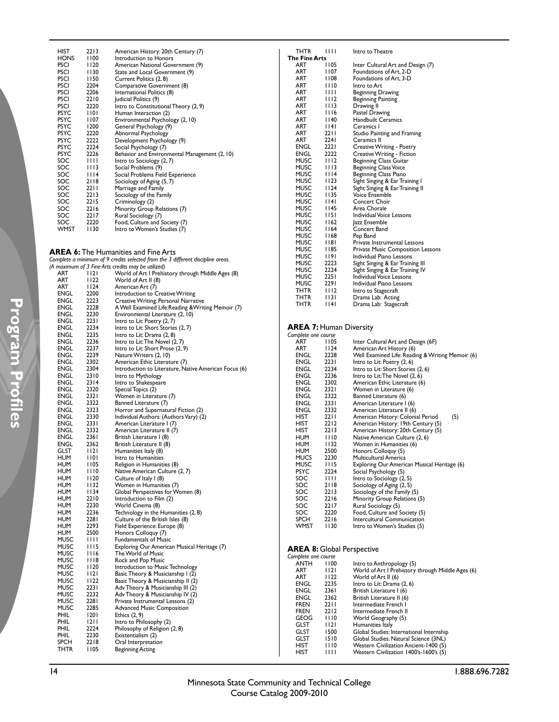| HIST        | 2213         | American History: 20th Century (7)            |
|-------------|--------------|-----------------------------------------------|
| HONS        | 1100         | Introduction to Honors                        |
| PSCI        | l I 20       | American National Government (9)              |
| PSCI        | 1130         | State and Local Government (9)                |
| PSCI        | l I 50       | Current Politics (2, 8)                       |
| PSCI        | 2204         | Comparative Government (8)                    |
| PSCI        | 2206         | International Politics (8)                    |
| PSCI        | 2210         | Judicial Politics (9)                         |
| <b>PSCI</b> | 2220         | Intro to Constitutional Theory (2, 9)         |
| <b>PSYC</b> | 1101         | Human Interaction (2)                         |
| <b>PSYC</b> | l 107        | Environmental Psychology (2, 10)              |
| <b>PSYC</b> | 1200         | General Psychology (9)                        |
| PSYC        | 2220         | Abnormal Psychology                           |
| <b>PSYC</b> | 2222         | Development Psychology (9)                    |
| <b>PSYC</b> | 2224         | Social Psychology (7)                         |
| <b>PSYC</b> | 2226         | Behavior and Environmental Management (2, 10) |
| SOC         | $\mathbf{H}$ | Intro to Sociology (2, 7)                     |
| SOC         | 1113         | Social Problems (9)                           |
| SOC III4    |              | Social Problems Field Experience              |
| SOC 2118    |              | Sociology of Aging (5, 7)                     |
| SOC         | 2211         | Marriage and Family                           |
| SOC 2213    |              | Sociology of the Family                       |
| SOC.        | 2215         | Criminology (2)                               |
| SOC         | 2216         | Minority Group Relations (7)                  |
| SOC 2217    |              | Rural Sociology (7)                           |
| SOC         | 2220         | Food, Culture and Society (7)                 |
| WMST        | 1130         | Intro to Women's Studies (7)                  |
|             |              |                                               |

**AREA 6:** The Humanities and Fine Arts *Complete a minimum of 9 credits selected from the 3 different discipline areas. (A maximum of 3 Fine Arts credits may be utilized)*

|             |              | $(A)$ muximum of 3 rine Arts credits may be utilized) |
|-------------|--------------|-------------------------------------------------------|
| ART         | I 12 I       | World of Art I Prehistory through Middle Ages (8)     |
| ART         | 1122         | World of Art II (8)                                   |
| ART         | 1124         | American Art (7)                                      |
| ENGL        | 2200         | Introduction to Creative Writing                      |
| ENGL        | 2223         | Creative Writing: Personal Narrative                  |
| ENGL        | 2228         | A Well Examined Life: Reading & Writing Memoir (7)    |
| ENGL        | 2230         | Environmental Literature (2, 10)                      |
| ENGL        | 2231         | Intro to Lit: Poetry (2, 7)                           |
| <b>ENGL</b> | 2234         | Intro to Lit: Short Stories (2, 7)                    |
| ENGL        | 2235         | Intro to Lit: Drama (2, 8)                            |
| ENGL        | 2236         | Intro to Lit: The Novel (2, 7)                        |
| ENGL        | 2237         | Intro to Lit: Short Prose (2, 9)                      |
| ENGL        | 2239         | Nature Writers (2, 10)                                |
| ENGL        | 2302         | American Ethic Literature (7)                         |
| ENGL        | 2304         | Introduction to Literature, Native American Focus (6) |
| ENGL        | 2310         | Intro to Mythology                                    |
| ENGL        | 2314         | Intro to Shakespeare                                  |
| ENGL        | 2320         | Special Topics (2)                                    |
| ENGL        | 2321         | Women in Literature (7)                               |
| <b>ENGL</b> | 2322         | Banned Literature (7)                                 |
| ENGL        | 2323         | Horror and Supernatural Fiction (2)                   |
| ENGL        | 2330         | Individual Authors: (Authors Vary) (2)                |
| ENGL        | 233 I        | American Literature I (7)                             |
| ENGL        | 2332         | American Literature II (7)                            |
| ENGL        | 2361         | British Literature I (8)                              |
| ENGL        | 2362         | British Literature II (8)                             |
| <b>GLST</b> | 1121         | Humanities Italy (8)                                  |
| HUM         | 1101         | Intro to Humanities                                   |
| HUM         | 1105         | Religion in Humanities (8)                            |
| HUM         | 1110         | Native American Culture (2, 7)                        |
| HUM         | 1120         | Culture of Italy I (8)                                |
| HUM         | 1132         | Women in Humanities (7)                               |
| HUM         | 1134         | Global Perspectives for Women (8)                     |
| HUM         | 2210         |                                                       |
| HUM         | 2230         | Introduction to Film (2)                              |
| HUM         | 2236         | World Cinema (8)                                      |
|             |              | Technology in the Humanities (2, 8)                   |
| HUM         | 2281<br>2293 | Culture of the British Isles (8)                      |
| HUM         |              | Field Experience: Europe (8)                          |
| HUM         | 2500         | Honors Colloquy (7)                                   |
| MUSC        | Ш            | <b>Fundamentals of Music</b>                          |
| MUSC        | 1115         | Exploring Our American Musical Heritage (7)           |
| MUSC        | 1116         | The World of Music                                    |
| MUSC        | 1118         | Rock and Pop Music                                    |
| MUSC        | 1120         | Introduction to Music Technology                      |
| MUSC        | 1121         | Basic Theory & Musicianship I (2)                     |
| MUSC        | 1122         | Basic Theory & Musicianship II (2)                    |
| MUSC        | 2231         | Adv Theory & Musicianship III (2)                     |
| MUSC        | 2232         | Adv Theory & Musicianship IV (2)                      |
| MUSC        | 2281         | Private Instrumental Lessons (2)                      |
| MUSC        | 2285         | <b>Advanced Music Composition</b>                     |
| PHIL        | 1201         | Ethics (2, 9)                                         |
| PHIL        | 1211         | Intro to Philosophy (2)                               |
| PHIL        | 2224         | Philosophy of Religion (2, 8)                         |
| PHIL        | 2230         | Existentialism (2)                                    |
| <b>SPCH</b> | 2218         | Oral Interpretation                                   |
| THTR        | 1105         | Beginning Acting                                      |
|             |              |                                                       |

| THTR                 | 1111   | Intro to Theatre                         |
|----------------------|--------|------------------------------------------|
| <b>The Fine Arts</b> |        |                                          |
| ART                  | 1105   | Inter Cultural Art and Design (7)        |
| ART                  | 1107   | Foundations of Art. 2-D                  |
| ART                  | 1108   | Foundations of Art, 3-D                  |
| ART                  | 1110   | Intro to Art                             |
| ART                  | Ш      | Beginning Drawing                        |
| ART                  | 1112   | <b>Beginning Painting</b>                |
| ART                  | 1113   | Drawing II                               |
| ART                  | 1116   | Pastel Drawing                           |
| ART                  | 140    | <b>Handbuilt Ceramics</b>                |
| ART                  | 114 I  | Ceramics I                               |
| ART                  | 2211   | Studio Painting and Framing              |
| ART                  | 2241   | Ceramics II                              |
| ENGL                 | 2221   | Creative Writing - Poetry                |
| ENGL                 | 2222   | Creative Writing - Fiction               |
| <b>MUSC</b>          | 1112   | <b>Beginning Class Guitar</b>            |
| MUSC                 | 1113   | <b>Beginning Class Voice</b>             |
| <b>MUSC</b>          | 1114   | Beginning Class Piano                    |
| MUSC                 | l I 23 | Sight Singing & Ear Training I           |
| MUSC                 | 1124   | Sight Singing & Ear Training II          |
| <b>MUSC</b>          | I I 35 | <b>Voice Ensemble</b>                    |
| <b>MUSC</b>          | 114 I  | Concert Choir                            |
| <b>MUSC</b>          | l 145  | Area Chorale                             |
| <b>MUSC</b>          | 1151   | Individual Voice Lessons                 |
| MUSC                 | 1162   | lazz Ensemble                            |
| MUSC                 | 1164   | Concert Band                             |
| MUSC                 | 1168   | Pep Band                                 |
| <b>MUSC</b>          | I 18 I | Private Instrumental Lessons             |
| MUSC                 | I 185  | <b>Private Music Composition Lessons</b> |
| MUSC                 | 1191   | Individual Piano Lessons                 |
| MUSC                 | 2223   | Sight Singing & Ear Training III         |
| MUSC                 | 2224   | Sight Singing & Ear Training IV          |
| MUSC                 | 2251   | Individual Voice Lessons                 |
| MUSC                 | 2291   | Individual Piano Lessons                 |
| THTR                 | 1112   | Intro to Stagecraft                      |
| THTR                 | 1131   | Drama Lab: Acting                        |
| THTR                 | 14     | Drama Lab: Stagecraft                    |
|                      |        |                                          |

# **AREA 7:** Human Diversity *Complete one course*

| Complete one course |      |                                                  |
|---------------------|------|--------------------------------------------------|
| ART                 | 1105 | Inter Cultural Art and Design (6F)               |
| ART                 | 1124 | American Art History (6)                         |
| ENGL                | 2228 | Well Examined Life: Reading & Writing Memoir (6) |
| ENGL                | 2231 | Intro to Lit: Poetry (2, 6)                      |
| ENGL                | 2234 | Intro to Lit: Short Stories (2, 6)               |
| ENGL                | 2236 | Intro to Lit: The Novel (2, 6)                   |
| ENGL                | 2302 | American Ethic Literature (6)                    |
| ENGL                | 2321 | Women in Literature (6)                          |
| ENGL                | 2322 | Banned Literature (6)                            |
| <b>ENGL 2331</b>    |      | American Literature I (6)                        |
| ENGL                | 2332 | American Literature II (6)                       |
| HIST                | 2211 | American History: Colonial Period<br>(5)         |
| HIST                | 2212 | American History: 19th Century (5)               |
| HIST                | 2213 | American History: 20th Century (5)               |
| HUM                 | 1110 | Native American Culture (2, 6)                   |
| HUM                 | 1132 | Women in Humanities (6)                          |
| HUM                 | 2500 | Honors Colloquy (5)                              |
| <b>MUCS</b>         | 2230 | Multicultural America                            |
| MUSC                | 1115 | Exploring Our American Musical Heritage (6)      |
| PSYC.               | 2224 | Social Psychology (5)                            |
| SOC                 | 1111 | Intro to Sociology (2, 5)                        |
| SOC                 | 2118 | Sociology of Aging (2, 5)                        |
| SOC                 | 2213 | Sociology of the Family (5)                      |
| SOC                 | 2216 | Minority Group Relations (5)                     |
| SOC                 | 2217 | Rural Sociology (5)                              |
| SOC 2220            |      | Food, Culture and Society (5)                    |
| SPCH                | 2216 | Intercultural Communication                      |
| WMST                | 1130 | Intro to Women's Studies (5)                     |
|                     |      |                                                  |

## **AREA 8:** Global Perspective

| Complete one course |      |                                                   |
|---------------------|------|---------------------------------------------------|
| ANTH                | 1100 | Intro to Anthropology (5)                         |
| <b>ART</b>          | 12   | World of Art I Prehistory through Middle Ages (6) |
| <b>ART</b>          | 1122 | World of Art II (6)                               |
| ENGL                | 2235 | Intro to Lit: Drama (2, 6)                        |
| ENGL                | 2361 | British Literature I (6)                          |
| ENGL                | 2362 | British Literature II (6)                         |
| <b>FREN</b>         | 2211 | Intermediate French I                             |
| <b>FREN</b>         | 2212 | Intermediate French II                            |
| GEOG                | 1110 | World Geography (5)                               |
| GLST                | 1121 | Humanities Italy                                  |
| GLST                | 1500 | Global Studies: International Internship          |
| <b>GLST</b>         | 1510 | Global Studies: Natural Science (3NL)             |
| HIST                | 1110 | <b>Western Civilization Ancient-1400 (5)</b>      |
| HIST                | '''' | Western Civilization 1400's-1600's (5)            |